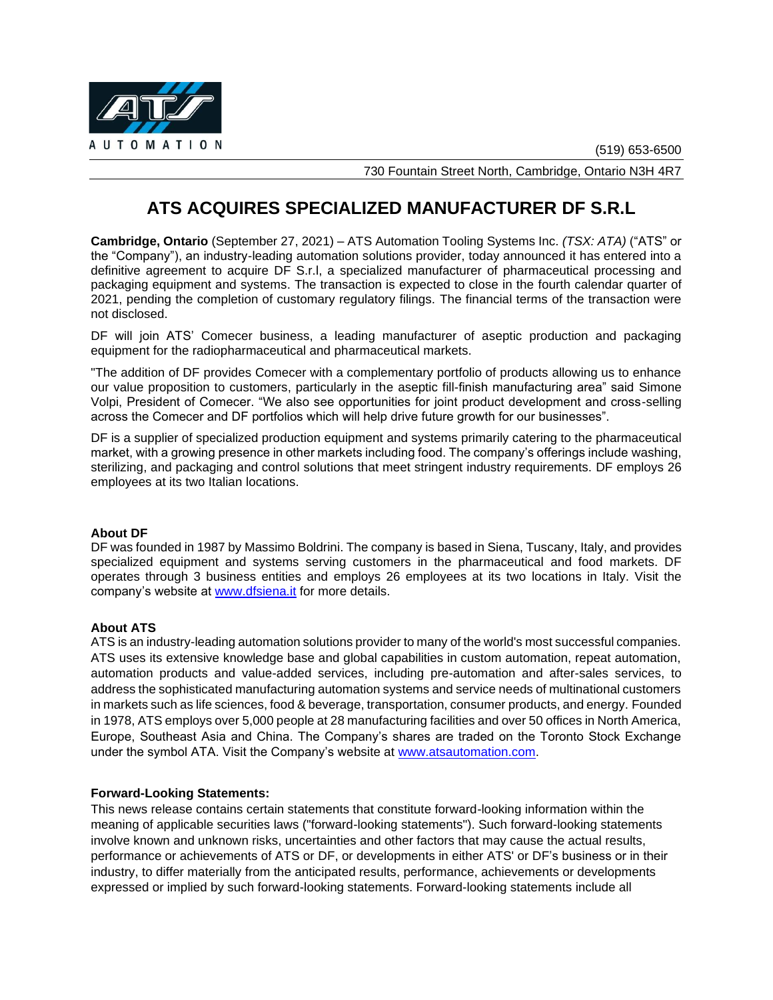

730 Fountain Street North, Cambridge, Ontario N3H 4R7

# **ATS ACQUIRES SPECIALIZED MANUFACTURER DF S.R.L**

**Cambridge, Ontario** (September 27, 2021) – ATS Automation Tooling Systems Inc. *(TSX: ATA)* ("ATS" or the "Company"), an industry-leading automation solutions provider, today announced it has entered into a definitive agreement to acquire DF S.r.l, a specialized manufacturer of pharmaceutical processing and packaging equipment and systems. The transaction is expected to close in the fourth calendar quarter of 2021, pending the completion of customary regulatory filings. The financial terms of the transaction were not disclosed.

DF will join ATS' Comecer business, a leading manufacturer of aseptic production and packaging equipment for the radiopharmaceutical and pharmaceutical markets.

"The addition of DF provides Comecer with a complementary portfolio of products allowing us to enhance our value proposition to customers, particularly in the aseptic fill-finish manufacturing area" said Simone Volpi, President of Comecer. "We also see opportunities for joint product development and cross-selling across the Comecer and DF portfolios which will help drive future growth for our businesses".

DF is a supplier of specialized production equipment and systems primarily catering to the pharmaceutical market, with a growing presence in other markets including food. The company's offerings include washing, sterilizing, and packaging and control solutions that meet stringent industry requirements. DF employs 26 employees at its two Italian locations.

# **About DF**

DF was founded in 1987 by Massimo Boldrini. The company is based in Siena, Tuscany, Italy, and provides specialized equipment and systems serving customers in the pharmaceutical and food markets. DF operates through 3 business entities and employs 26 employees at its two locations in Italy. Visit the company's website at [www.dfsiena.it](http://www.dfsiena.it/ing/index.html) for more details.

# **About ATS**

ATS is an industry-leading automation solutions provider to many of the world's most successful companies. ATS uses its extensive knowledge base and global capabilities in custom automation, repeat automation, automation products and value-added services, including pre-automation and after-sales services, to address the sophisticated manufacturing automation systems and service needs of multinational customers in markets such as life sciences, food & beverage, transportation, consumer products, and energy. Founded in 1978, ATS employs over 5,000 people at 28 manufacturing facilities and over 50 offices in North America, Europe, Southeast Asia and China. The Company's shares are traded on the Toronto Stock Exchange under the symbol ATA. Visit the Company's website at [www.atsautomation.com.](http://www.atsautomation.com/)

### **Forward-Looking Statements:**

This news release contains certain statements that constitute forward-looking information within the meaning of applicable securities laws ("forward-looking statements"). Such forward-looking statements involve known and unknown risks, uncertainties and other factors that may cause the actual results, performance or achievements of ATS or DF, or developments in either ATS' or DF's business or in their industry, to differ materially from the anticipated results, performance, achievements or developments expressed or implied by such forward-looking statements. Forward-looking statements include all